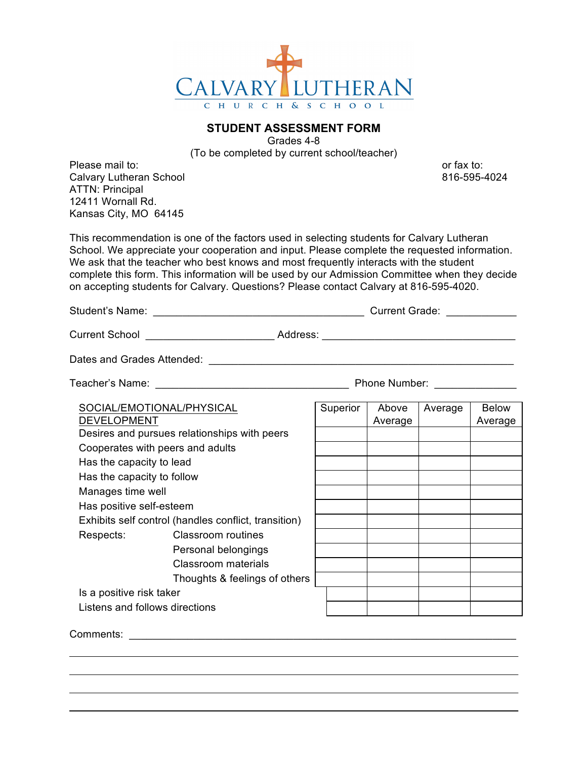

## **STUDENT ASSESSMENT FORM**

Grades 4-8 (To be completed by current school/teacher)

Please mail to: **or** fax to: **or** fax to: **or** fax to: Calvary Lutheran School 816-595-4024 ATTN: Principal 12411 Wornall Rd. Kansas City, MO 64145

This recommendation is one of the factors used in selecting students for Calvary Lutheran School. We appreciate your cooperation and input. Please complete the requested information. We ask that the teacher who best knows and most frequently interacts with the student complete this form. This information will be used by our Admission Committee when they decide on accepting students for Calvary. Questions? Please contact Calvary at 816-595-4020.

Student's Name: <br>
Student's Name: 
and the contract of the Current Grade:

Current School \_\_\_\_\_\_\_\_\_\_\_\_\_\_\_\_\_\_\_\_\_\_\_\_\_\_\_\_\_\_\_\_Address: \_\_\_\_\_\_\_\_\_\_\_\_\_\_\_\_\_\_\_\_\_\_\_\_

Dates and Grades Attended: \_\_\_\_\_\_\_\_\_\_\_\_\_\_\_\_\_\_\_\_\_\_\_\_\_\_\_\_\_\_\_\_\_\_\_\_\_\_\_\_\_\_\_\_\_\_\_\_\_\_\_\_

Teacher's Name: \_\_\_\_\_\_\_\_\_\_\_\_\_\_\_\_\_\_\_\_\_\_\_\_\_\_\_\_\_\_\_\_\_ Phone Number: \_\_\_\_\_\_\_\_\_\_\_\_\_\_

| SOCIAL/EMOTIONAL/PHYSICAL                            |                               | Superior | Above   | Average | <b>Below</b> |
|------------------------------------------------------|-------------------------------|----------|---------|---------|--------------|
| <b>DEVELOPMENT</b>                                   |                               |          | Average |         | Average      |
| Desires and pursues relationships with peers         |                               |          |         |         |              |
| Cooperates with peers and adults                     |                               |          |         |         |              |
| Has the capacity to lead                             |                               |          |         |         |              |
| Has the capacity to follow                           |                               |          |         |         |              |
| Manages time well                                    |                               |          |         |         |              |
| Has positive self-esteem                             |                               |          |         |         |              |
| Exhibits self control (handles conflict, transition) |                               |          |         |         |              |
| Respects:                                            | Classroom routines            |          |         |         |              |
|                                                      | Personal belongings           |          |         |         |              |
|                                                      | Classroom materials           |          |         |         |              |
|                                                      | Thoughts & feelings of others |          |         |         |              |
| Is a positive risk taker                             |                               |          |         |         |              |
| Listens and follows directions                       |                               |          |         |         |              |
|                                                      |                               |          |         |         |              |

Comments: \_\_\_\_\_\_\_\_\_\_\_\_\_\_\_\_\_\_\_\_\_\_\_\_\_\_\_\_\_\_\_\_\_\_\_\_\_\_\_\_\_\_\_\_\_\_\_\_\_\_\_\_\_\_\_\_\_\_\_\_\_\_\_\_\_\_